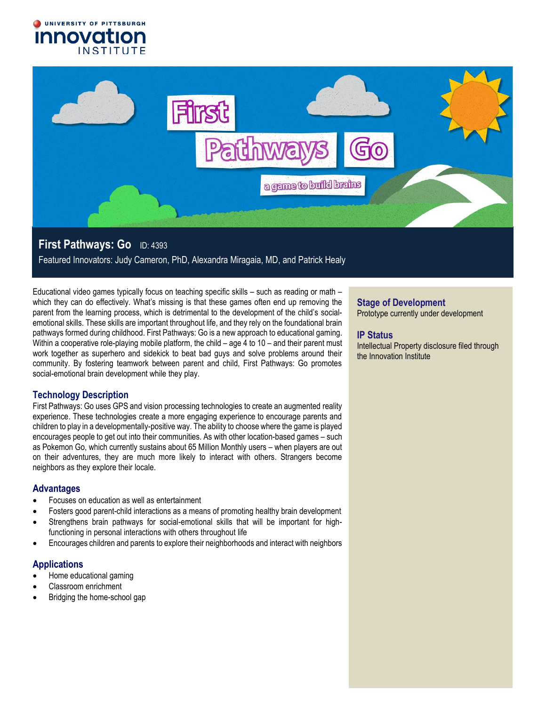



# **First Pathways: Go** ID: 4393

Featured Innovators: Judy Cameron, PhD, Alexandra Miragaia, MD, and Patrick Healy

Educational video games typically focus on teaching specific skills – such as reading or math – which they can do effectively. What's missing is that these games often end up removing the parent from the learning process, which is detrimental to the development of the child's socialemotional skills. These skills are important throughout life, and they rely on the foundational brain pathways formed during childhood. First Pathways: Go is a new approach to educational gaming. Within a cooperative role-playing mobile platform, the child – age 4 to 10 – and their parent must work together as superhero and sidekick to beat bad guys and solve problems around their community. By fostering teamwork between parent and child, First Pathways: Go promotes social-emotional brain development while they play.

# **Technology Description**

First Pathways: Go uses GPS and vision processing technologies to create an augmented reality experience. These technologies create a more engaging experience to encourage parents and children to play in a developmentally-positive way. The ability to choose where the game is played encourages people to get out into their communities. As with other location-based games – such as Pokemon Go, which currently sustains about 65 Million Monthly users – when players are out on their adventures, they are much more likely to interact with others. Strangers become neighbors as they explore their locale.

### **Advantages**

- Focuses on education as well as entertainment
- Fosters good parent-child interactions as a means of promoting healthy brain development
- Strengthens brain pathways for social-emotional skills that will be important for highfunctioning in personal interactions with others throughout life
- Encourages children and parents to explore their neighborhoods and interact with neighbors

# **Applications**

- Home educational gaming
- Classroom enrichment
- Bridging the home-school gap

# **Stage of Development**

Prototype currently under development

# **IP Status**

Intellectual Property disclosure filed through the Innovation Institute